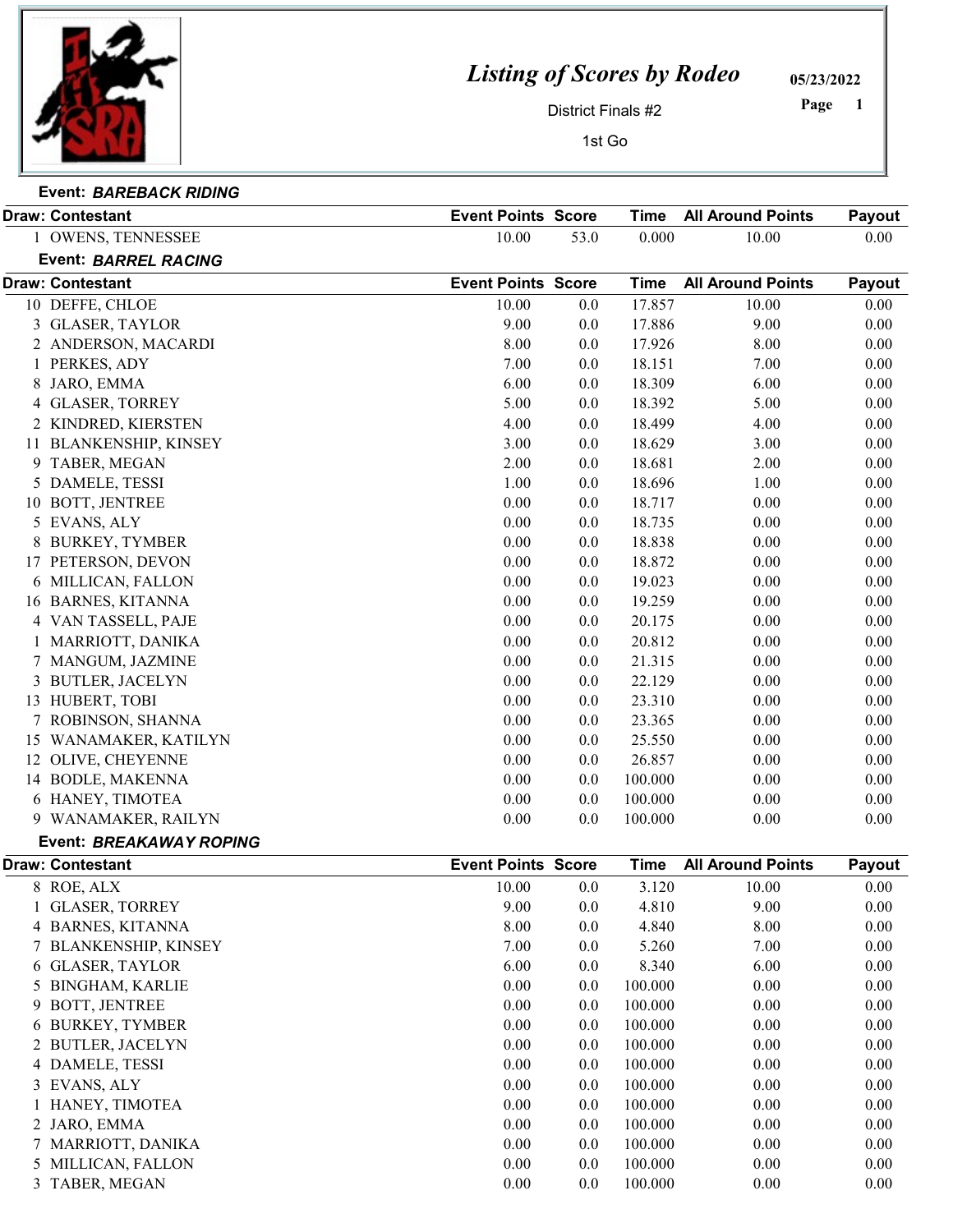

## Listing of Scores by Rodeo

05/23/2022

District Finals #2

1 Page

1st Go

| Event: BAREBACK RIDING  |                           |      |                               |        |
|-------------------------|---------------------------|------|-------------------------------|--------|
| <b>Draw: Contestant</b> | <b>Event Points Score</b> | Time | $\lambda$ All Around Points . | Payout |

|    | 1 OWENS, TENNESSEE                    | 10.00                     | 53.0    | 0.000       | 10.00                    | 0.00         |
|----|---------------------------------------|---------------------------|---------|-------------|--------------------------|--------------|
|    | <b>Event: BARREL RACING</b>           |                           |         |             |                          |              |
|    | <b>Draw: Contestant</b>               | <b>Event Points Score</b> |         | <b>Time</b> | <b>All Around Points</b> | Payout       |
|    | 10 DEFFE, CHLOE                       | 10.00                     | 0.0     | 17.857      | 10.00                    | 0.00         |
|    | 3 GLASER, TAYLOR                      | 9.00                      | 0.0     | 17.886      | 9.00                     | 0.00         |
|    | 2 ANDERSON, MACARDI                   | 8.00                      | 0.0     | 17.926      | 8.00                     | 0.00         |
|    | 1 PERKES, ADY                         | 7.00                      | 0.0     | 18.151      | 7.00                     | 0.00         |
|    | 8 JARO, EMMA                          | 6.00                      | 0.0     | 18.309      | 6.00                     | 0.00         |
|    | 4 GLASER, TORREY                      | 5.00                      | 0.0     | 18.392      | 5.00                     | 0.00         |
|    | 2 KINDRED, KIERSTEN                   | 4.00                      | 0.0     | 18.499      | 4.00                     | 0.00         |
|    | 11 BLANKENSHIP, KINSEY                | 3.00                      | 0.0     | 18.629      | 3.00                     | 0.00         |
| 9  | TABER, MEGAN                          | 2.00                      | 0.0     | 18.681      | 2.00                     | 0.00         |
|    | 5 DAMELE, TESSI                       | 1.00                      | 0.0     | 18.696      | 1.00                     | 0.00         |
| 10 | BOTT, JENTREE                         | 0.00                      | 0.0     | 18.717      | 0.00                     | 0.00         |
|    | 5 EVANS, ALY                          | 0.00                      | 0.0     | 18.735      | 0.00                     | 0.00         |
| 8  | <b>BURKEY, TYMBER</b>                 | 0.00                      | 0.0     | 18.838      | 0.00                     | 0.00         |
|    | 17 PETERSON, DEVON                    | 0.00                      | 0.0     | 18.872      | 0.00                     | 0.00         |
|    | 6 MILLICAN, FALLON                    | 0.00                      | 0.0     | 19.023      | 0.00                     | 0.00         |
|    | 16 BARNES, KITANNA                    | 0.00                      | 0.0     | 19.259      | 0.00                     | 0.00         |
|    | 4 VAN TASSELL, PAJE                   | 0.00                      | 0.0     | 20.175      | 0.00                     | 0.00         |
|    | 1 MARRIOTT, DANIKA                    | 0.00                      | 0.0     | 20.812      | 0.00                     | 0.00         |
|    | 7 MANGUM, JAZMINE                     | 0.00                      | 0.0     | 21.315      | 0.00                     | 0.00         |
| 3  | <b>BUTLER, JACELYN</b>                | 0.00                      | 0.0     | 22.129      | 0.00                     | 0.00         |
|    | 13 HUBERT, TOBI                       | 0.00                      | 0.0     | 23.310      | 0.00                     | 0.00         |
|    | 7 ROBINSON, SHANNA                    | 0.00                      | 0.0     | 23.365      | 0.00                     | 0.00         |
| 15 | WANAMAKER, KATILYN                    | 0.00                      | 0.0     | 25.550      | 0.00                     | 0.00         |
|    | 12 OLIVE, CHEYENNE                    | 0.00                      | 0.0     | 26.857      | 0.00                     | 0.00         |
|    | 14 BODLE, MAKENNA                     | 0.00                      | 0.0     | 100.000     | 0.00                     | 0.00         |
|    | 6 HANEY, TIMOTEA                      | 0.00                      | 0.0     | 100.000     | 0.00                     | 0.00         |
|    | 9 WANAMAKER, RAILYN                   | 0.00                      | 0.0     | 100.000     | 0.00                     | 0.00         |
|    | <b>Event: BREAKAWAY ROPING</b>        |                           |         |             |                          |              |
|    | <b>Draw: Contestant</b>               | <b>Event Points Score</b> |         | <b>Time</b> | <b>All Around Points</b> | Payout       |
|    | 8 ROE, ALX                            | 10.00                     | 0.0     | 3.120       | 10.00                    | 0.00         |
|    | 1 GLASER, TORREY                      | 9.00                      | 0.0     | 4.810       | 9.00                     | 0.00         |
|    | 4 BARNES, KITANNA                     | $8.00\,$                  | $0.0\,$ | 4.840       | $8.00\,$                 | $0.00\,$     |
| 7  | <b>BLANKENSHIP, KINSEY</b>            | 7.00                      | 0.0     | 5.260       | 7.00                     | 0.00         |
|    |                                       | 6.00                      | 0.0     | 8.340       | 6.00                     | 0.00         |
|    | 6 GLASER, TAYLOR<br>5 BINGHAM, KARLIE | 0.00                      |         |             |                          |              |
|    |                                       |                           | 0.0     | 100.000     | 0.00                     | 0.00<br>0.00 |
| 9  | BOTT, JENTREE                         | 0.00                      | 0.0     | 100.000     | 0.00                     |              |
|    | 6 BURKEY, TYMBER                      | 0.00                      | 0.0     | 100.000     | 0.00                     | 0.00         |
|    | 2 BUTLER, JACELYN                     | 0.00                      | 0.0     | 100.000     | 0.00                     | 0.00         |
|    | 4 DAMELE, TESSI                       | 0.00                      | 0.0     | 100.000     | 0.00                     | 0.00         |
|    | 3 EVANS, ALY                          | 0.00                      | 0.0     | 100.000     | 0.00                     | 0.00         |
|    | 1 HANEY, TIMOTEA                      | 0.00                      | 0.0     | 100.000     | 0.00                     | 0.00         |
|    | 2 JARO, EMMA                          | 0.00                      | 0.0     | 100.000     | 0.00                     | 0.00         |
|    | 7 MARRIOTT, DANIKA                    | 0.00                      | 0.0     | 100.000     | 0.00                     | 0.00         |
|    | 5 MILLICAN, FALLON                    | 0.00                      | 0.0     | 100.000     | 0.00                     | 0.00         |
|    | 3 TABER, MEGAN                        | 0.00                      | 0.0     | 100.000     | 0.00                     | 0.00         |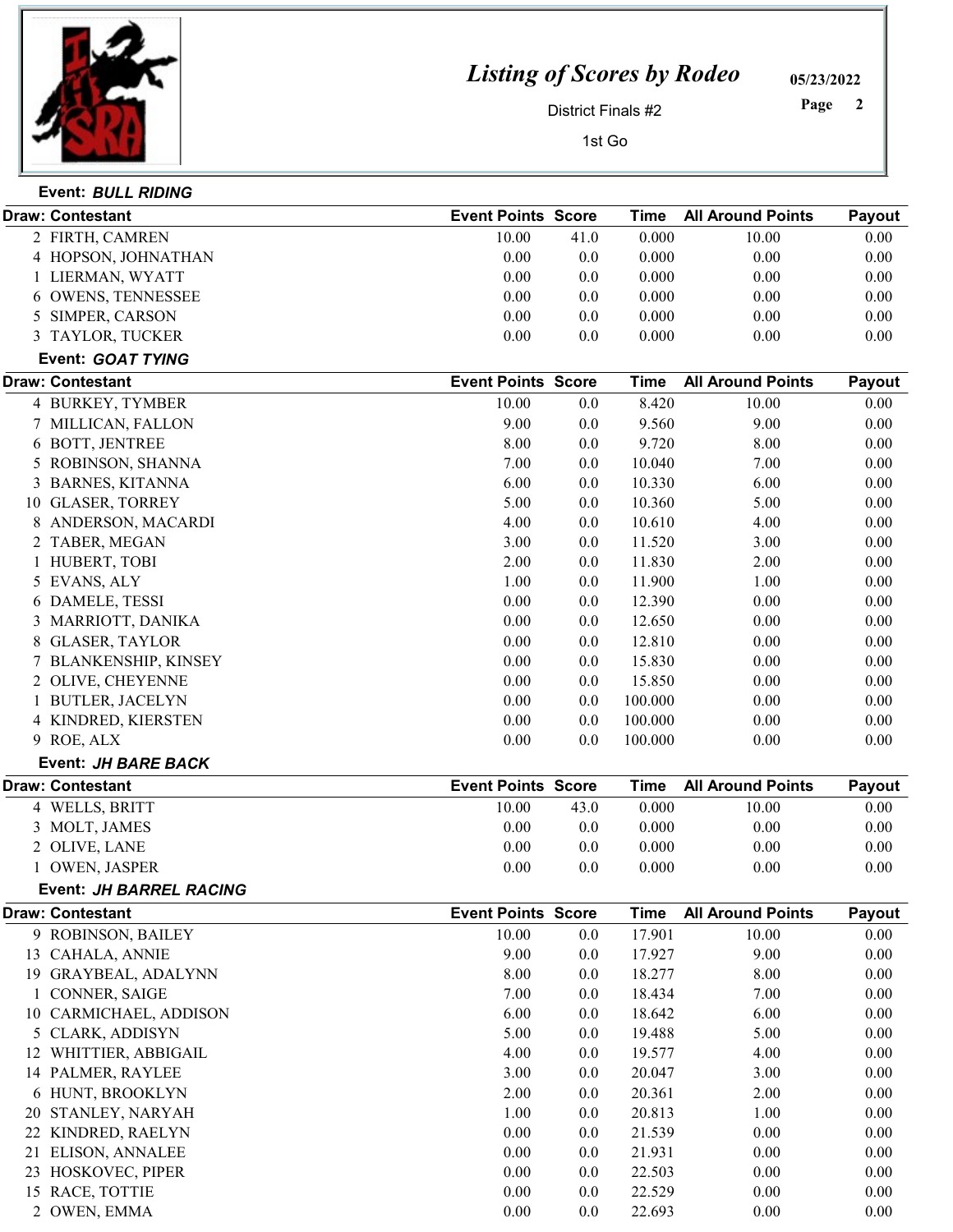

## Listing of Scores by Rodeo

05/23/2022

District Finals #2

 Page

1st Go

|    | Event: BULL RIDING             |                           |      |             |                          |        |
|----|--------------------------------|---------------------------|------|-------------|--------------------------|--------|
|    | <b>Draw: Contestant</b>        | <b>Event Points Score</b> |      | <b>Time</b> | <b>All Around Points</b> | Payout |
|    | 2 FIRTH, CAMREN                | 10.00                     | 41.0 | 0.000       | 10.00                    | 0.00   |
|    | 4 HOPSON, JOHNATHAN            | 0.00                      | 0.0  | 0.000       | 0.00                     | 0.00   |
|    | 1 LIERMAN, WYATT               | 0.00                      | 0.0  | 0.000       | 0.00                     | 0.00   |
|    | 6 OWENS, TENNESSEE             | 0.00                      | 0.0  | 0.000       | 0.00                     | 0.00   |
|    | 5 SIMPER, CARSON               | 0.00                      | 0.0  | 0.000       | 0.00                     | 0.00   |
|    | 3 TAYLOR, TUCKER               | 0.00                      | 0.0  | 0.000       | 0.00                     | 0.00   |
|    | Event: GOAT TYING              |                           |      |             |                          |        |
|    | <b>Draw: Contestant</b>        | <b>Event Points Score</b> |      | <b>Time</b> | <b>All Around Points</b> | Payout |
|    | 4 BURKEY, TYMBER               | 10.00                     | 0.0  | 8.420       | 10.00                    | 0.00   |
|    | 7 MILLICAN, FALLON             | 9.00                      | 0.0  | 9.560       | 9.00                     | 0.00   |
|    | 6 BOTT, JENTREE                | 8.00                      | 0.0  | 9.720       | 8.00                     | 0.00   |
|    | 5 ROBINSON, SHANNA             | 7.00                      | 0.0  | 10.040      | 7.00                     | 0.00   |
| 3  | <b>BARNES, KITANNA</b>         | 6.00                      | 0.0  | 10.330      | 6.00                     | 0.00   |
| 10 | <b>GLASER, TORREY</b>          | 5.00                      | 0.0  | 10.360      | 5.00                     | 0.00   |
| 8  | ANDERSON, MACARDI              | 4.00                      | 0.0  | 10.610      | 4.00                     | 0.00   |
|    | 2 TABER, MEGAN                 | 3.00                      | 0.0  | 11.520      | 3.00                     | 0.00   |
|    | 1 HUBERT, TOBI                 | 2.00                      | 0.0  | 11.830      | 2.00                     | 0.00   |
|    | 5 EVANS, ALY                   | 1.00                      | 0.0  | 11.900      | 1.00                     | 0.00   |
|    | 6 DAMELE, TESSI                | 0.00                      | 0.0  | 12.390      | 0.00                     | 0.00   |
|    | 3 MARRIOTT, DANIKA             | 0.00                      | 0.0  | 12.650      | 0.00                     | 0.00   |
| 8  | <b>GLASER, TAYLOR</b>          | 0.00                      | 0.0  | 12.810      | 0.00                     | 0.00   |
|    | 7 BLANKENSHIP, KINSEY          | 0.00                      | 0.0  | 15.830      | 0.00                     | 0.00   |
|    | 2 OLIVE, CHEYENNE              | 0.00                      | 0.0  | 15.850      | 0.00                     | 0.00   |
|    | 1 BUTLER, JACELYN              | 0.00                      | 0.0  | 100.000     | 0.00                     | 0.00   |
|    | 4 KINDRED, KIERSTEN            | 0.00                      | 0.0  | 100.000     | 0.00                     | 0.00   |
|    | 9 ROE, ALX                     | 0.00                      | 0.0  | 100.000     | 0.00                     | 0.00   |
|    | Event: JH BARE BACK            |                           |      |             |                          |        |
|    | <b>Draw: Contestant</b>        | <b>Event Points Score</b> |      | <b>Time</b> | <b>All Around Points</b> | Payout |
|    | 4 WELLS, BRITT                 | 10.00                     | 43.0 | 0.000       | 10.00                    | 0.00   |
|    | 3 MOLT, JAMES                  | 0.00                      | 0.0  | 0.000       | 0.00                     | 0.00   |
|    | 2 OLIVE, LANE                  | 0.00                      | 0.0  | 0.000       | 0.00                     | 0.00   |
|    | 1 OWEN, JASPER                 | 0.00                      | 0.0  | 0.000       | 0.00                     | 0.00   |
|    | <b>Event: JH BARREL RACING</b> |                           |      |             |                          |        |
|    | Draw: Contestant               | <b>Event Points Score</b> |      | <b>Time</b> | <b>All Around Points</b> | Payout |
|    | 9 ROBINSON, BAILEY             | 10.00                     | 0.0  | 17.901      | 10.00                    | 0.00   |
|    | 13 CAHALA, ANNIE               | 9.00                      | 0.0  | 17.927      | 9.00                     | 0.00   |
|    | 19 GRAYBEAL, ADALYNN           | 8.00                      | 0.0  | 18.277      | 8.00                     | 0.00   |
|    | CONNER, SAIGE                  | 7.00                      | 0.0  | 18.434      | 7.00                     | 0.00   |
|    | 10 CARMICHAEL, ADDISON         | 6.00                      | 0.0  | 18.642      | 6.00                     | 0.00   |
|    | 5 CLARK, ADDISYN               | 5.00                      | 0.0  | 19.488      | 5.00                     | 0.00   |
|    | 12 WHITTIER, ABBIGAIL          | 4.00                      | 0.0  | 19.577      | 4.00                     | 0.00   |
|    | 14 PALMER, RAYLEE              | 3.00                      | 0.0  | 20.047      | 3.00                     | 0.00   |
|    | 6 HUNT, BROOKLYN               | 2.00                      | 0.0  | 20.361      | 2.00                     | 0.00   |
|    | 20 STANLEY, NARYAH             | 1.00                      | 0.0  | 20.813      | 1.00                     | 0.00   |
|    | 22 KINDRED, RAELYN             | 0.00                      | 0.0  | 21.539      | 0.00                     | 0.00   |
|    | 21 ELISON, ANNALEE             | 0.00                      | 0.0  | 21.931      | 0.00                     | 0.00   |
|    | 23 HOSKOVEC, PIPER             | 0.00                      | 0.0  | 22.503      | 0.00                     | 0.00   |
|    | 15 RACE, TOTTIE                | 0.00                      | 0.0  | 22.529      | 0.00                     | 0.00   |
|    | 2 OWEN, EMMA                   | 0.00                      | 0.0  | 22.693      | 0.00                     | 0.00   |
|    |                                |                           |      |             |                          |        |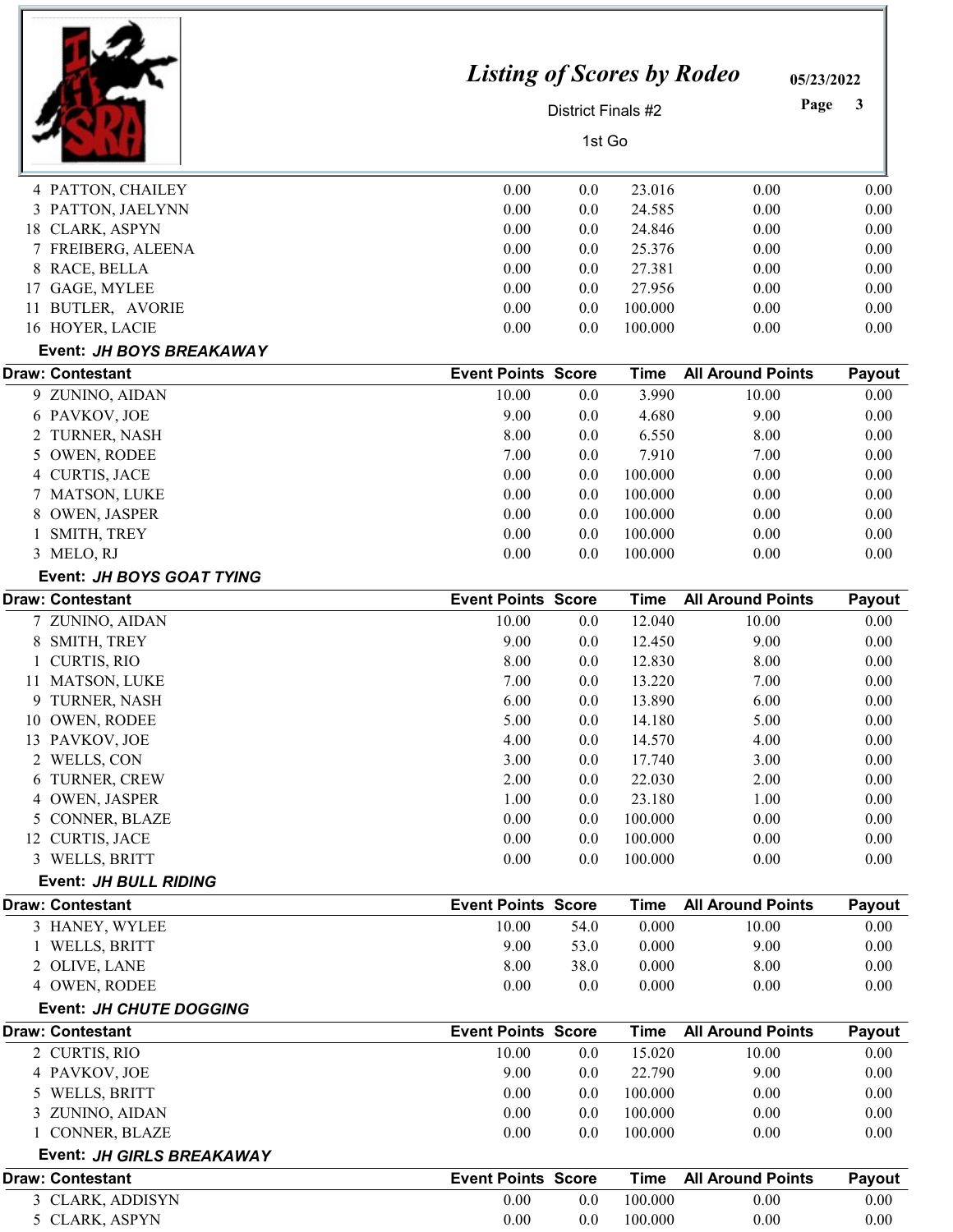|                                                     | <b>Listing of Scores by Rodeo</b> |                    |                    | 05/23/2022               |              |
|-----------------------------------------------------|-----------------------------------|--------------------|--------------------|--------------------------|--------------|
|                                                     |                                   | District Finals #2 |                    | Page                     | 3            |
|                                                     |                                   | 1st Go             |                    |                          |              |
| 4 PATTON, CHAILEY                                   | 0.00                              | 0.0                | 23.016             | 0.00                     | 0.00         |
| PATTON, JAELYNN<br>3                                | 0.00                              | 0.0                | 24.585             | 0.00                     | 0.00         |
| 18 CLARK, ASPYN                                     | 0.00                              | 0.0                | 24.846             | 0.00                     | 0.00         |
| 7 FREIBERG, ALEENA                                  | 0.00                              | 0.0                | 25.376             | 0.00                     | 0.00         |
| 8 RACE, BELLA                                       | 0.00                              | 0.0                | 27.381             | 0.00                     | 0.00         |
| 17 GAGE, MYLEE                                      | 0.00                              | 0.0                | 27.956             | 0.00                     | 0.00         |
| 11 BUTLER, AVORIE                                   | 0.00                              | 0.0                | 100.000            | 0.00                     | 0.00         |
| 16 HOYER, LACIE                                     | 0.00                              | 0.0                | 100.000            | 0.00                     | 0.00         |
|                                                     |                                   |                    |                    |                          |              |
| Event: JH BOYS BREAKAWAY<br><b>Draw: Contestant</b> | <b>Event Points Score</b>         |                    | <b>Time</b>        | <b>All Around Points</b> | Payout       |
| 9 ZUNINO, AIDAN                                     | 10.00                             | 0.0                | 3.990              | 10.00                    | 0.00         |
| 6 PAVKOV, JOE                                       | 9.00                              | 0.0                | 4.680              | 9.00                     | 0.00         |
| 2 TURNER, NASH                                      | 8.00                              | 0.0                | 6.550              | 8.00                     | 0.00         |
| 5 OWEN, RODEE                                       | 7.00                              | 0.0                | 7.910              | 7.00                     | 0.00         |
| <b>CURTIS, JACE</b><br>4                            | 0.00                              | 0.0                | 100.000            | 0.00                     | 0.00         |
| 7 MATSON, LUKE                                      | 0.00                              | 0.0                | 100.000            | 0.00                     | 0.00         |
| <b>OWEN, JASPER</b><br>8                            | 0.00                              | 0.0                | 100.000            | 0.00                     | 0.00         |
| SMITH, TREY                                         | 0.00                              | 0.0                | 100.000            | 0.00                     | 0.00         |
| 3 MELO, RJ                                          | 0.00                              | 0.0                | 100.000            | 0.00                     | 0.00         |
| Event: JH BOYS GOAT TYING                           |                                   |                    |                    |                          |              |
| <b>Draw: Contestant</b>                             | <b>Event Points Score</b>         |                    | <b>Time</b>        | <b>All Around Points</b> | Payout       |
| 7 ZUNINO, AIDAN                                     | 10.00                             | 0.0                | 12.040             | 10.00                    | 0.00         |
| SMITH, TREY<br>8                                    | 9.00                              | 0.0                | 12.450             | 9.00                     | 0.00         |
| 1 CURTIS, RIO                                       | 8.00                              | 0.0                | 12.830             | 8.00                     | 0.00         |
| 11 MATSON, LUKE                                     | 7.00                              | 0.0                | 13.220             | 7.00                     | 0.00         |
| 9 TURNER, NASH                                      | 6.00                              | 0.0                | 13.890             | 6.00                     | 0.00         |
| 10 OWEN, RODEE                                      | 5.00                              | 0.0                | 14.180             | 5.00                     | 0.00         |
| 13 PAVKOV, JOE                                      | 4.00                              | 0.0                | 14.570             | 4.00                     | 0.00         |
| 2 WELLS, CON                                        | 3.00                              | 0.0                | 17.740             | 3.00                     | 0.00         |
| TURNER, CREW<br>6                                   | 2.00                              | 0.0                | 22.030             | 2.00                     | 0.00         |
| 4 OWEN, JASPER                                      | 1.00                              | 0.0                | 23.180             | 1.00                     | 0.00         |
| 5 CONNER, BLAZE                                     | 0.00                              | 0.0                | 100.000            | 0.00                     | 0.00         |
| 12 CURTIS, JACE                                     | 0.00                              | 0.0                | 100.000            | 0.00                     | 0.00         |
| 3 WELLS, BRITT                                      | 0.00                              | 0.0                | 100.000            | 0.00                     | 0.00         |
| Event: JH BULL RIDING                               |                                   |                    |                    |                          |              |
| <b>Draw: Contestant</b>                             | <b>Event Points Score</b>         |                    | <b>Time</b>        | <b>All Around Points</b> | Payout       |
| 3 HANEY, WYLEE                                      | 10.00                             | 54.0               | 0.000              | 10.00                    | 0.00         |
| WELLS, BRITT                                        | 9.00                              | 53.0               | 0.000              | 9.00                     | 0.00         |
| 2 OLIVE, LANE                                       | 8.00                              | 38.0               | 0.000              | 8.00                     | 0.00         |
| 4 OWEN, RODEE                                       | 0.00                              | 0.0                | 0.000              | 0.00                     | 0.00         |
| Event: JH CHUTE DOGGING                             |                                   |                    |                    |                          |              |
| <b>Draw: Contestant</b>                             | <b>Event Points Score</b>         |                    | Time               | <b>All Around Points</b> | Payout       |
| 2 CURTIS, RIO                                       | 10.00                             | 0.0                | 15.020             | 10.00                    | 0.00         |
| 4 PAVKOV, JOE                                       | 9.00                              | 0.0                | 22.790             | 9.00                     | 0.00         |
| 5 WELLS, BRITT                                      | 0.00                              | 0.0                | 100.000            | 0.00                     | 0.00         |
| 3 ZUNINO, AIDAN                                     | 0.00                              | 0.0                | 100.000            | 0.00                     | 0.00         |
| 1 CONNER, BLAZE                                     | 0.00                              | 0.0                | 100.000            | 0.00                     | 0.00         |
| Event: JH GIRLS BREAKAWAY                           |                                   |                    |                    |                          |              |
| <b>Draw: Contestant</b>                             | <b>Event Points Score</b>         |                    | <b>Time</b>        | <b>All Around Points</b> | Payout       |
| 3 CLARK, ADDISYN                                    | 0.00<br>0.00                      | 0.0                | 100.000<br>100.000 | 0.00<br>0.00             | 0.00<br>0.00 |
| 5 CLARK, ASPYN                                      |                                   | 0.0                |                    |                          |              |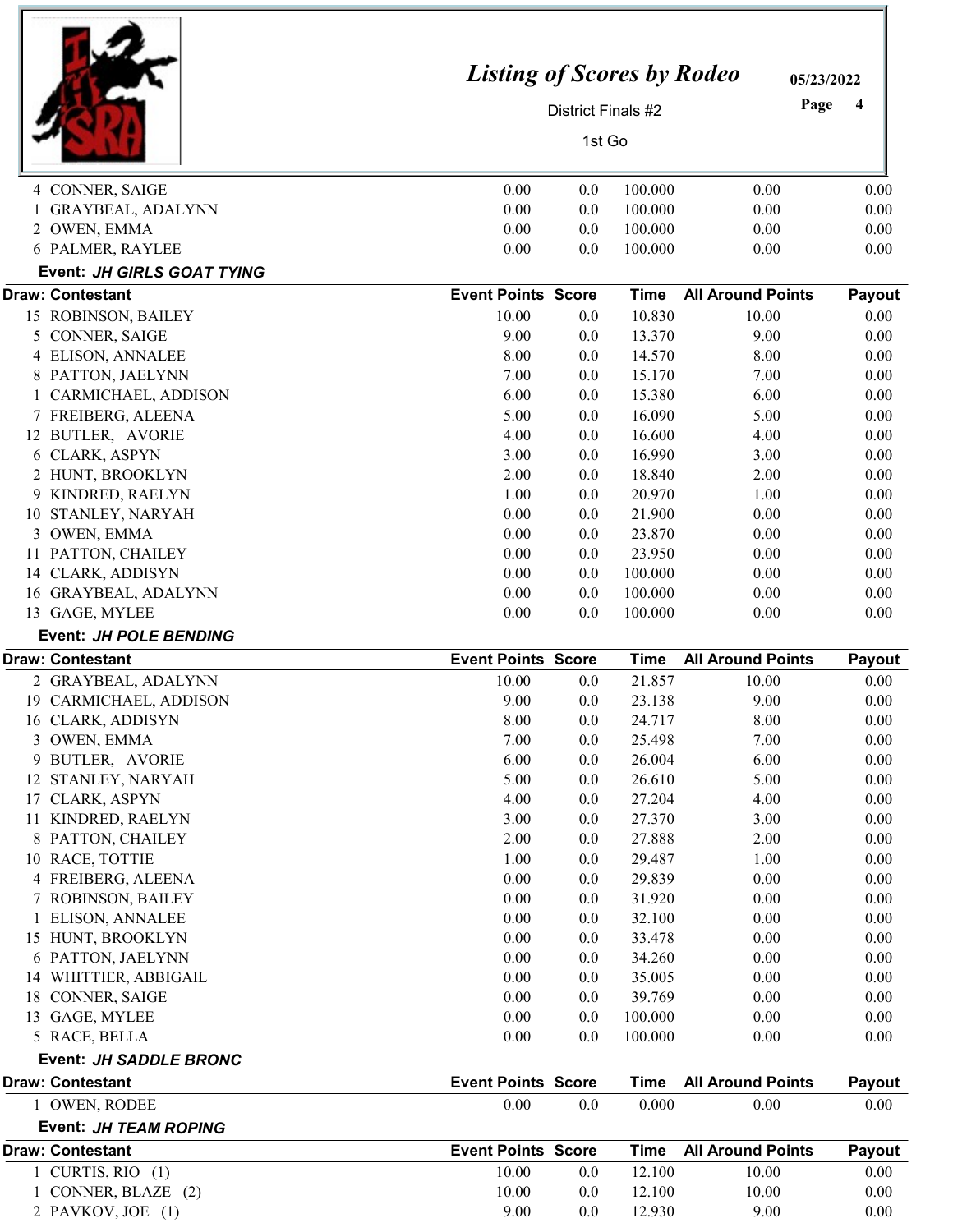|                                       | <b>Listing of Scores by Rodeo</b> |                    |                  | 05/23/2022               |              |
|---------------------------------------|-----------------------------------|--------------------|------------------|--------------------------|--------------|
|                                       |                                   | District Finals #2 |                  | Page                     | 4            |
|                                       |                                   | 1st Go             |                  |                          |              |
| 4 CONNER, SAIGE                       | 0.00                              | 0.0                | 100.000          | 0.00                     | 0.00         |
| <b>GRAYBEAL, ADALYNN</b>              | 0.00                              | 0.0                | 100.000          | 0.00                     | 0.00         |
| 2 OWEN, EMMA                          | 0.00                              | 0.0                | 100.000          | 0.00                     | 0.00         |
| 6 PALMER, RAYLEE                      | 0.00                              | 0.0                | 100.000          | 0.00                     | 0.00         |
| Event: JH GIRLS GOAT TYING            |                                   |                    |                  |                          |              |
| <b>Draw: Contestant</b>               | <b>Event Points Score</b>         |                    | <b>Time</b>      | <b>All Around Points</b> | Payout       |
| 15 ROBINSON, BAILEY                   | 10.00                             | 0.0                | 10.830           | 10.00                    | 0.00         |
| 5 CONNER, SAIGE                       | 9.00                              | 0.0                | 13.370           | 9.00                     | 0.00         |
| 4 ELISON, ANNALEE                     | 8.00                              | 0.0                | 14.570           | 8.00                     | 0.00         |
| PATTON, JAELYNN<br>8                  | 7.00                              | 0.0                | 15.170           | 7.00                     | 0.00         |
| CARMICHAEL, ADDISON                   | 6.00                              | 0.0                | 15.380           | 6.00                     | 0.00         |
| 7 FREIBERG, ALEENA                    | 5.00                              | 0.0                | 16.090           | 5.00                     | 0.00         |
| 12 BUTLER, AVORIE                     | 4.00                              | 0.0                | 16.600           | 4.00                     | 0.00         |
| 6 CLARK, ASPYN                        | 3.00                              | 0.0                | 16.990           | 3.00                     | 0.00         |
| 2 HUNT, BROOKLYN                      | 2.00                              | 0.0                | 18.840           | 2.00                     | 0.00         |
| 9 KINDRED, RAELYN                     | 1.00                              | 0.0                | 20.970           | 1.00                     | 0.00         |
| 10 STANLEY, NARYAH                    | 0.00                              | 0.0                | 21.900           | 0.00                     | 0.00         |
| 3 OWEN, EMMA                          | 0.00                              | 0.0                | 23.870           | 0.00                     | 0.00         |
| 11 PATTON, CHAILEY                    | 0.00                              | 0.0                | 23.950           | 0.00                     | 0.00         |
| 14 CLARK, ADDISYN                     | 0.00                              | 0.0                | 100.000          | 0.00                     | 0.00         |
| 16 GRAYBEAL, ADALYNN                  | 0.00                              | 0.0                | 100.000          | 0.00                     | 0.00         |
| 13 GAGE, MYLEE                        | 0.00                              | 0.0                | 100.000          | 0.00                     | 0.00         |
| Event: JH POLE BENDING                |                                   |                    |                  |                          |              |
| <b>Draw: Contestant</b>               | <b>Event Points Score</b>         |                    | <b>Time</b>      | <b>All Around Points</b> | Payout       |
| 2 GRAYBEAL, ADALYNN                   | 10.00                             | 0.0                | 21.857           | 10.00                    | 0.00         |
| 19 CARMICHAEL, ADDISON                | 9.00                              | $0.0\,$            | 23.138           | 9.00                     | 0.00         |
| 16 CLARK, ADDISYN                     | 8.00                              | 0.0                | 24.717           | 8.00                     | 0.00         |
| 3 OWEN, EMMA                          | 7.00                              | 0.0                | 25.498           | 7.00                     | 0.00         |
| 9 BUTLER, AVORIE                      | 6.00<br>5.00                      | 0.0                | 26.004<br>26.610 | 6.00                     | 0.00<br>0.00 |
| 12 STANLEY, NARYAH<br>17 CLARK, ASPYN | 4.00                              | 0.0<br>0.0         | 27.204           | 5.00<br>4.00             | 0.00         |
| 11 KINDRED, RAELYN                    | 3.00                              | 0.0                | 27.370           | 3.00                     | 0.00         |
| 8 PATTON, CHAILEY                     | 2.00                              | 0.0                | 27.888           | 2.00                     | 0.00         |
| 10 RACE, TOTTIE                       | 1.00                              | $0.0\,$            | 29.487           | 1.00                     | 0.00         |
| 4 FREIBERG, ALEENA                    | 0.00                              | $0.0\,$            | 29.839           | 0.00                     | 0.00         |
| 7 ROBINSON, BAILEY                    | 0.00                              | 0.0                | 31.920           | 0.00                     | 0.00         |
| 1 ELISON, ANNALEE                     | 0.00                              | 0.0                | 32.100           | 0.00                     | 0.00         |
| 15 HUNT, BROOKLYN                     | 0.00                              | 0.0                | 33.478           | 0.00                     | 0.00         |
| 6 PATTON, JAELYNN                     | 0.00                              | 0.0                | 34.260           | 0.00                     | 0.00         |
| 14 WHITTIER, ABBIGAIL                 | 0.00                              | 0.0                | 35.005           | 0.00                     | 0.00         |
| 18 CONNER, SAIGE                      | 0.00                              | 0.0                | 39.769           | 0.00                     | 0.00         |
| 13 GAGE, MYLEE                        | 0.00                              | 0.0                | 100.000          | 0.00                     | 0.00         |
| 5 RACE, BELLA                         | 0.00                              | 0.0                | 100.000          | 0.00                     | 0.00         |
| <b>Event: JH SADDLE BRONC</b>         |                                   |                    |                  |                          |              |
| <b>Draw: Contestant</b>               | <b>Event Points Score</b>         |                    | <b>Time</b>      | <b>All Around Points</b> | Payout       |
| 1 OWEN, RODEE                         | 0.00                              | 0.0                | 0.000            | 0.00                     | 0.00         |
| Event: JH TEAM ROPING                 |                                   |                    |                  |                          |              |
| <b>Draw: Contestant</b>               | <b>Event Points Score</b>         |                    | <b>Time</b>      | <b>All Around Points</b> | Payout       |
| 1 CURTIS, RIO $(1)$                   | 10.00                             | 0.0                | 12.100           | 10.00                    | 0.00         |
| 1 CONNER, BLAZE (2)                   | 10.00                             | 0.0                | 12.100           | 10.00                    | 0.00         |
| 2 PAVKOV, JOE (1)                     | 9.00                              | 0.0                | 12.930           | 9.00                     | 0.00         |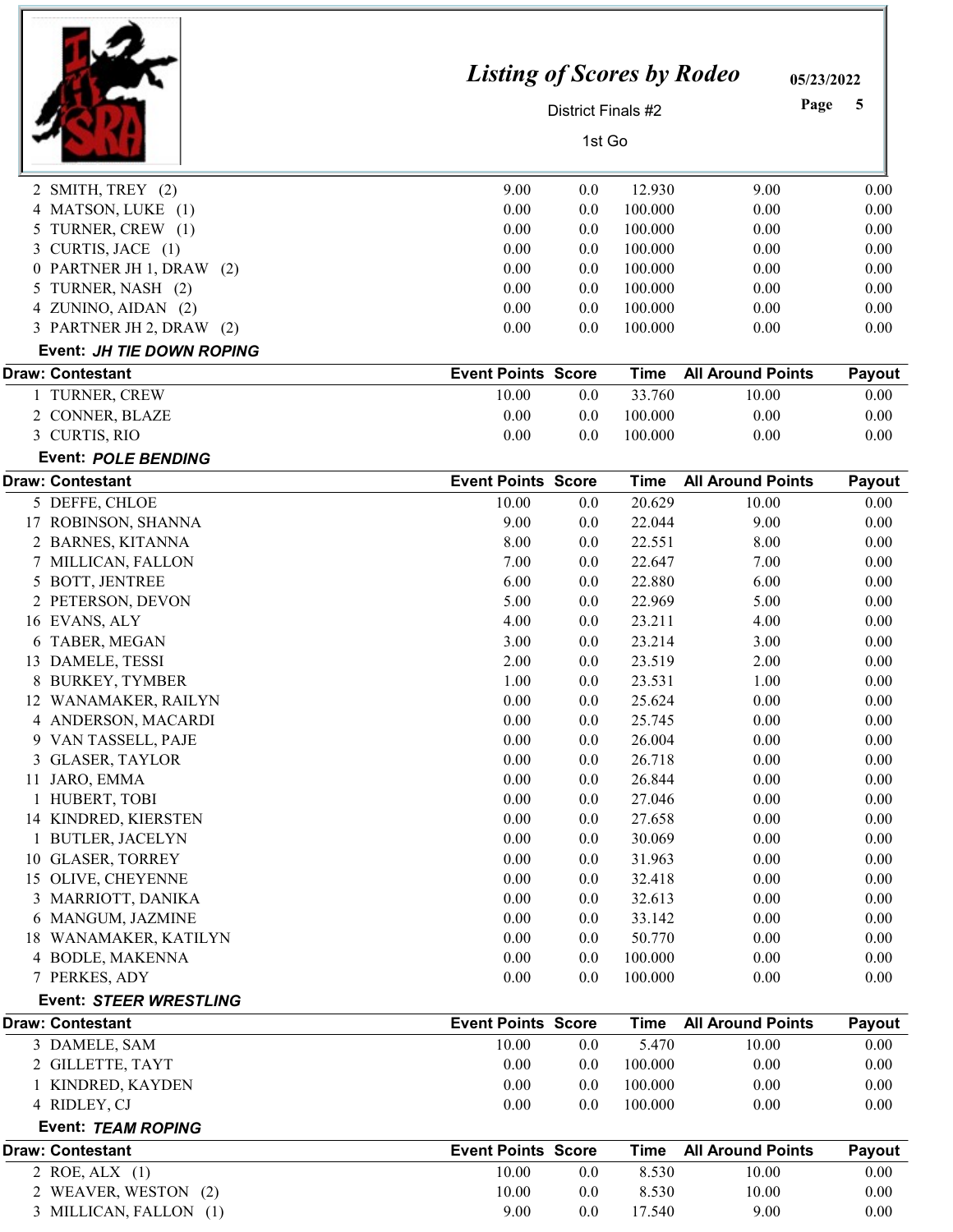|                                                   | <b>Listing of Scores by Rodeo</b>  |                    |                       |                                   | 05/23/2022     |
|---------------------------------------------------|------------------------------------|--------------------|-----------------------|-----------------------------------|----------------|
|                                                   |                                    | District Finals #2 |                       |                                   | Page<br>5      |
|                                                   |                                    | 1st Go             |                       |                                   |                |
| 2 SMITH, TREY (2)                                 | 9.00                               | 0.0                | 12.930                | 9.00                              | 0.00           |
| 4 MATSON, LUKE (1)                                | 0.00                               | 0.0                | 100.000               | 0.00                              | 0.00           |
| 5 TURNER, CREW (1)                                | 0.00                               | 0.0                | 100.000               | 0.00                              | 0.00           |
| CURTIS, JACE (1)                                  | 0.00                               | 0.0                | 100.000               | 0.00                              | 0.00           |
| 0 PARTNER JH 1, DRAW (2)                          | 0.00                               | 0.0                | 100.000               | 0.00                              | 0.00           |
| TURNER, NASH (2)<br>5                             | 0.00                               | 0.0                | 100.000               | 0.00                              | 0.00           |
| 4 ZUNINO, AIDAN (2)                               | 0.00                               | 0.0                | 100.000               | 0.00                              | 0.00           |
| 3 PARTNER JH 2, DRAW (2)                          | 0.00                               | 0.0                | 100.000               | 0.00                              | 0.00           |
| Event: JH TIE DOWN ROPING                         |                                    |                    |                       |                                   |                |
| <b>Draw: Contestant</b>                           | <b>Event Points Score</b>          |                    | <b>Time</b>           | <b>All Around Points</b>          | Payout         |
| 1 TURNER, CREW                                    | 10.00                              | 0.0                | 33.760                | 10.00                             | 0.00           |
| 2 CONNER, BLAZE                                   | 0.00                               | 0.0                | 100.000               | 0.00                              | 0.00           |
| 3 CURTIS, RIO                                     | 0.00                               | 0.0                | 100.000               | 0.00                              | 0.00           |
| <b>Event: POLE BENDING</b>                        |                                    |                    |                       |                                   |                |
| <b>Draw: Contestant</b><br>5 DEFFE, CHLOE         | <b>Event Points Score</b><br>10.00 | 0.0                | <b>Time</b><br>20.629 | <b>All Around Points</b><br>10.00 | Payout<br>0.00 |
| 17 ROBINSON, SHANNA                               | 9.00                               | 0.0                | 22.044                | 9.00                              | 0.00           |
| 2 BARNES, KITANNA                                 | 8.00                               | 0.0                | 22.551                | 8.00                              | 0.00           |
| 7 MILLICAN, FALLON                                | 7.00                               | 0.0                | 22.647                | 7.00                              | 0.00           |
| 5 BOTT, JENTREE                                   | 6.00                               | 0.0                | 22.880                | 6.00                              | 0.00           |
| 2 PETERSON, DEVON                                 | 5.00                               | 0.0                | 22.969                | 5.00                              | 0.00           |
|                                                   | 4.00                               |                    | 23.211                |                                   |                |
| 16 EVANS, ALY<br>6 TABER, MEGAN                   | 3.00                               | 0.0                | 23.214                | 4.00                              | 0.00           |
| 13 DAMELE, TESSI                                  |                                    | 0.0                |                       | 3.00                              | 0.00           |
|                                                   | 2.00                               | $0.0\,$            | 23.519                | 2.00                              | 0.00           |
| 8 BURKEY, TYMBER                                  | 1.00                               | 0.0                | 23.531                | 1.00                              | 0.00           |
| 12 WANAMAKER, RAILYN                              | 0.00                               | $0.0\,$            | 25.624                | 0.00                              | 0.00           |
| 4 ANDERSON, MACARDI                               | 0.00                               | 0.0                | 25.745                | 0.00                              | 0.00           |
| 9 VAN TASSELL, PAJE                               | 0.00                               | 0.0                | 26.004                | 0.00                              | 0.00           |
| 3 GLASER, TAYLOR                                  | 0.00                               | 0.0                | 26.718                | 0.00                              | 0.00           |
| 11 JARO, EMMA                                     | 0.00                               | 0.0                | 26.844                | 0.00                              | 0.00           |
| 1 HUBERT, TOBI                                    | 0.00                               | 0.0                | 27.046                | 0.00                              | 0.00           |
| 14 KINDRED, KIERSTEN                              | 0.00                               | 0.0                | 27.658                | 0.00                              | 0.00           |
| 1 BUTLER, JACELYN                                 | 0.00                               | 0.0                | 30.069                | 0.00                              | 0.00           |
| 10 GLASER, TORREY                                 | 0.00                               | 0.0                | 31.963                | 0.00                              | 0.00           |
| 15 OLIVE, CHEYENNE                                | 0.00                               | $0.0\,$            | 32.418                | 0.00                              | 0.00           |
| 3 MARRIOTT, DANIKA                                | 0.00                               | 0.0                | 32.613                | 0.00                              | 0.00           |
| 6 MANGUM, JAZMINE                                 | 0.00                               | 0.0                | 33.142                | 0.00                              | 0.00           |
| 18 WANAMAKER, KATILYN                             | 0.00                               | 0.0                | 50.770                | 0.00                              | 0.00           |
| 4 BODLE, MAKENNA                                  | 0.00                               | 0.0                | 100.000               | 0.00                              | 0.00           |
| 7 PERKES, ADY                                     | 0.00                               | 0.0                | 100.000               | 0.00                              | 0.00           |
| Event: STEER WRESTLING<br><b>Draw: Contestant</b> | <b>Event Points Score</b>          |                    | <b>Time</b>           | <b>All Around Points</b>          |                |
| 3 DAMELE, SAM                                     | 10.00                              | 0.0                | 5.470                 | 10.00                             | Payout<br>0.00 |
| 2 GILLETTE, TAYT                                  | 0.00                               | 0.0                | 100.000               | 0.00                              | 0.00           |
| 1 KINDRED, KAYDEN                                 | 0.00                               | 0.0                | 100.000               | 0.00                              | 0.00           |
| 4 RIDLEY, CJ                                      | 0.00                               | 0.0                | 100.000               | 0.00                              | 0.00           |
| Event: TEAM ROPING                                |                                    |                    |                       |                                   |                |
| <b>Draw: Contestant</b>                           | <b>Event Points Score</b>          |                    | <b>Time</b>           | <b>All Around Points</b>          | Payout         |
| 2 ROE, ALX (1)                                    | 10.00                              | 0.0                | 8.530                 | 10.00                             | 0.00           |
| 2 WEAVER, WESTON (2)                              | 10.00                              | 0.0                | 8.530                 | 10.00                             | 0.00           |
| 3 MILLICAN, FALLON (1)                            | 9.00                               | 0.0                | 17.540                | 9.00                              | 0.00           |